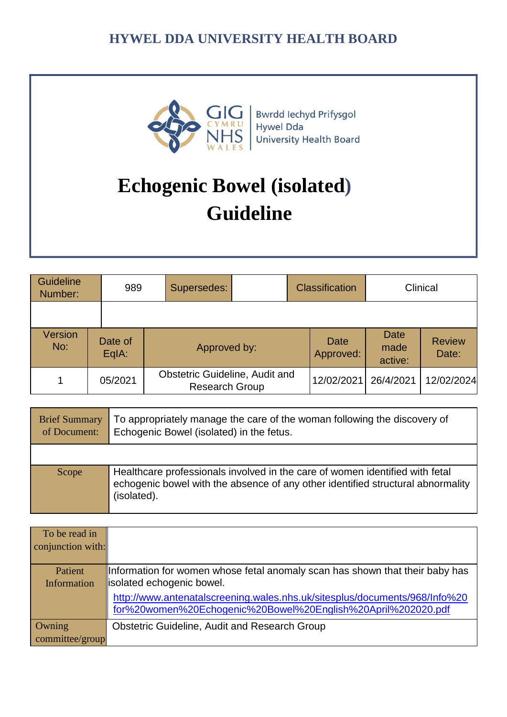

Bwrdd Iechyd Prifysgol Hywel Dda University Health Board

# **Echogenic Bowel (isolated) Guideline**

| Guideline<br>Number: |  | 989              | Supersedes:                                                    | <b>Classification</b> |                          | Clinical                       |                        |
|----------------------|--|------------------|----------------------------------------------------------------|-----------------------|--------------------------|--------------------------------|------------------------|
|                      |  |                  |                                                                |                       |                          |                                |                        |
| Version<br>No:       |  | Date of<br>EqIA: | Approved by:                                                   |                       | <b>Date</b><br>Approved: | <b>Date</b><br>made<br>active: | <b>Review</b><br>Date: |
|                      |  | 05/2021          | <b>Obstetric Guideline, Audit and</b><br><b>Research Group</b> |                       | 12/02/2021               | 26/4/2021                      | 12/02/2024             |

| <b>Brief Summary</b><br>of Document: | To appropriately manage the care of the woman following the discovery of<br>Echogenic Bowel (isolated) in the fetus.                                                           |
|--------------------------------------|--------------------------------------------------------------------------------------------------------------------------------------------------------------------------------|
|                                      |                                                                                                                                                                                |
| Scope                                | Healthcare professionals involved in the care of women identified with fetal<br>echogenic bowel with the absence of any other identified structural abnormality<br>(isolated). |

| To be read in     |                                                                                                                                            |
|-------------------|--------------------------------------------------------------------------------------------------------------------------------------------|
| conjunction with: |                                                                                                                                            |
|                   |                                                                                                                                            |
| Patient           | Information for women whose fetal anomaly scan has shown that their baby has                                                               |
| Information       | solated echogenic bowel.                                                                                                                   |
|                   | http://www.antenatalscreening.wales.nhs.uk/sitesplus/documents/968/Info%20<br>for%20women%20Echogenic%20Bowel%20English%20April%202020.pdf |
| Owning            | <b>Obstetric Guideline, Audit and Research Group</b>                                                                                       |
| committee/group   |                                                                                                                                            |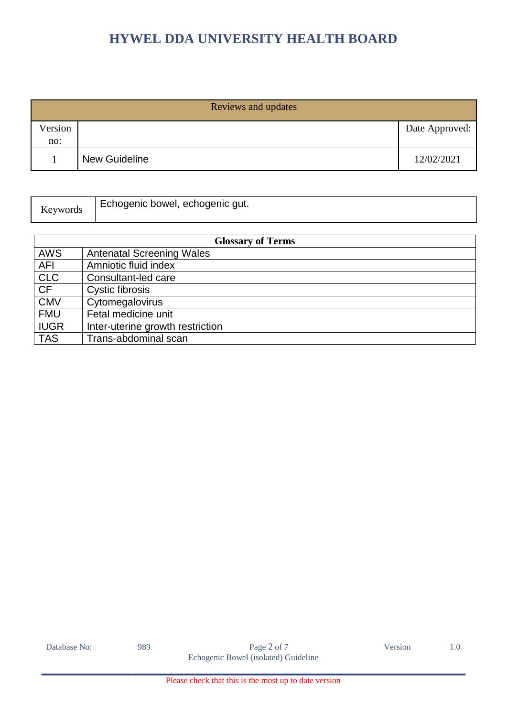| Reviews and updates |                      |                |  |  |
|---------------------|----------------------|----------------|--|--|
| Version<br>no:      |                      | Date Approved: |  |  |
|                     | <b>New Guideline</b> | 12/02/2021     |  |  |
|                     |                      |                |  |  |

| Echogenic bowel, echogenic gut.<br><b>Keywords</b> |  |  |
|----------------------------------------------------|--|--|
|----------------------------------------------------|--|--|

| <b>Glossary of Terms</b> |                                  |  |
|--------------------------|----------------------------------|--|
| <b>AWS</b>               | <b>Antenatal Screening Wales</b> |  |
| <b>AFI</b>               | Amniotic fluid index             |  |
| <b>CLC</b>               | Consultant-led care              |  |
| <b>CF</b>                | Cystic fibrosis                  |  |
| <b>CMV</b>               | Cytomegalovirus                  |  |
| <b>FMU</b>               | Fetal medicine unit              |  |
| <b>IUGR</b>              | Inter-uterine growth restriction |  |
| <b>TAS</b>               | Trans-abdominal scan             |  |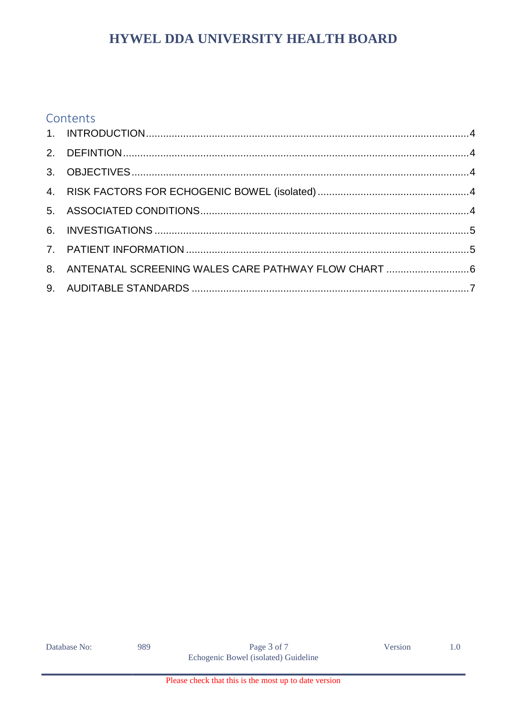#### Contents

Database No:

989

Version

 $1.0\,$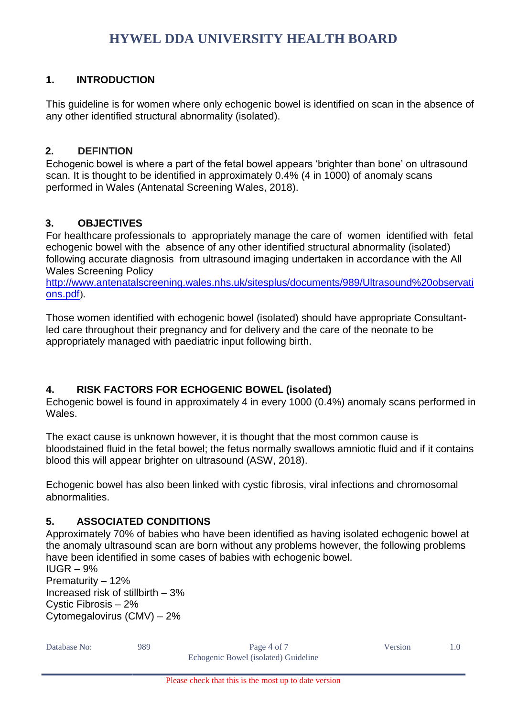#### <span id="page-3-0"></span>**1. INTRODUCTION**

This guideline is for women where only echogenic bowel is identified on scan in the absence of any other identified structural abnormality (isolated).

#### <span id="page-3-1"></span>**2. DEFINTION**

Echogenic bowel is where a part of the fetal bowel appears 'brighter than bone' on ultrasound scan. It is thought to be identified in approximately 0.4% (4 in 1000) of anomaly scans performed in Wales (Antenatal Screening Wales, 2018).

#### <span id="page-3-2"></span>**3. OBJECTIVES**

For healthcare professionals to appropriately manage the care of women identified with fetal echogenic bowel with the absence of any other identified structural abnormality (isolated) following accurate diagnosis from ultrasound imaging undertaken in accordance with the All Wales Screening Policy

[http://www.antenatalscreening.wales.nhs.uk/sitesplus/documents/989/Ultrasound%20observati](http://www.antenatalscreening.wales.nhs.uk/sitesplus/documents/989/Ultrasound%20observations.pdf) [ons.pdf](http://www.antenatalscreening.wales.nhs.uk/sitesplus/documents/989/Ultrasound%20observations.pdf)).

Those women identified with echogenic bowel (isolated) should have appropriate Consultantled care throughout their pregnancy and for delivery and the care of the neonate to be appropriately managed with paediatric input following birth.

#### <span id="page-3-3"></span>**4. RISK FACTORS FOR ECHOGENIC BOWEL (isolated)**

Echogenic bowel is found in approximately 4 in every 1000 (0.4%) anomaly scans performed in **Wales** 

The exact cause is unknown however, it is thought that the most common cause is bloodstained fluid in the fetal bowel; the fetus normally swallows amniotic fluid and if it contains blood this will appear brighter on ultrasound (ASW, 2018).

Echogenic bowel has also been linked with cystic fibrosis, viral infections and chromosomal abnormalities.

#### <span id="page-3-4"></span>**5. ASSOCIATED CONDITIONS**

Approximately 70% of babies who have been identified as having isolated echogenic bowel at the anomaly ultrasound scan are born without any problems however, the following problems have been identified in some cases of babies with echogenic bowel.

 $IUGR - 9%$ Prematurity – 12% Increased risk of stillbirth – 3% Cystic Fibrosis – 2% Cytomegalovirus (CMV) – 2%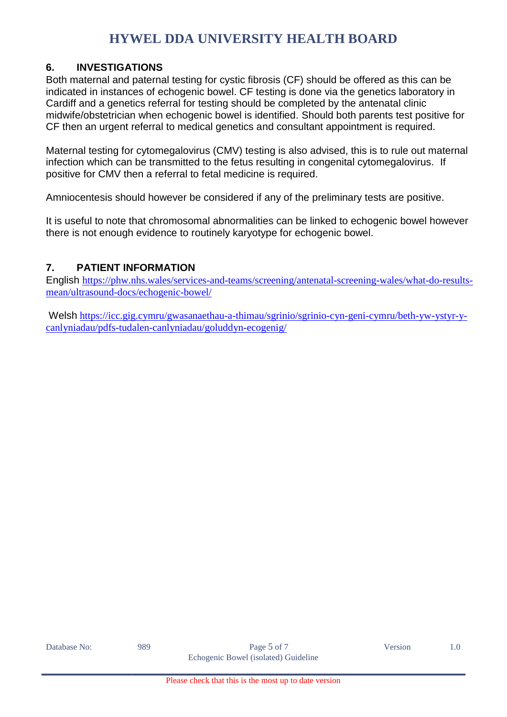#### <span id="page-4-0"></span>**6. INVESTIGATIONS**

Both maternal and paternal testing for cystic fibrosis (CF) should be offered as this can be indicated in instances of echogenic bowel. CF testing is done via the genetics laboratory in Cardiff and a genetics referral for testing should be completed by the antenatal clinic midwife/obstetrician when echogenic bowel is identified. Should both parents test positive for CF then an urgent referral to medical genetics and consultant appointment is required.

Maternal testing for cytomegalovirus (CMV) testing is also advised, this is to rule out maternal infection which can be transmitted to the fetus resulting in congenital cytomegalovirus. If positive for CMV then a referral to fetal medicine is required.

Amniocentesis should however be considered if any of the preliminary tests are positive.

It is useful to note that chromosomal abnormalities can be linked to echogenic bowel however there is not enough evidence to routinely karyotype for echogenic bowel.

#### <span id="page-4-1"></span>**7. PATIENT INFORMATION**

English [https://phw.nhs.wales/services-and-teams/screening/antenatal-screening-wales/what-do-results](https://phw.nhs.wales/services-and-teams/screening/antenatal-screening-wales/what-do-results-mean/ultrasound-docs/echogenic-bowel/)[mean/ultrasound-docs/echogenic-bowel/](https://phw.nhs.wales/services-and-teams/screening/antenatal-screening-wales/what-do-results-mean/ultrasound-docs/echogenic-bowel/)

Welsh [https://icc.gig.cymru/gwasanaethau-a-thimau/sgrinio/sgrinio-cyn-geni-cymru/beth-yw-ystyr-y](https://icc.gig.cymru/gwasanaethau-a-thimau/sgrinio/sgrinio-cyn-geni-cymru/beth-yw-ystyr-y-canlyniadau/pdfs-tudalen-canlyniadau/goluddyn-ecogenig/)[canlyniadau/pdfs-tudalen-canlyniadau/goluddyn-ecogenig/](https://icc.gig.cymru/gwasanaethau-a-thimau/sgrinio/sgrinio-cyn-geni-cymru/beth-yw-ystyr-y-canlyniadau/pdfs-tudalen-canlyniadau/goluddyn-ecogenig/)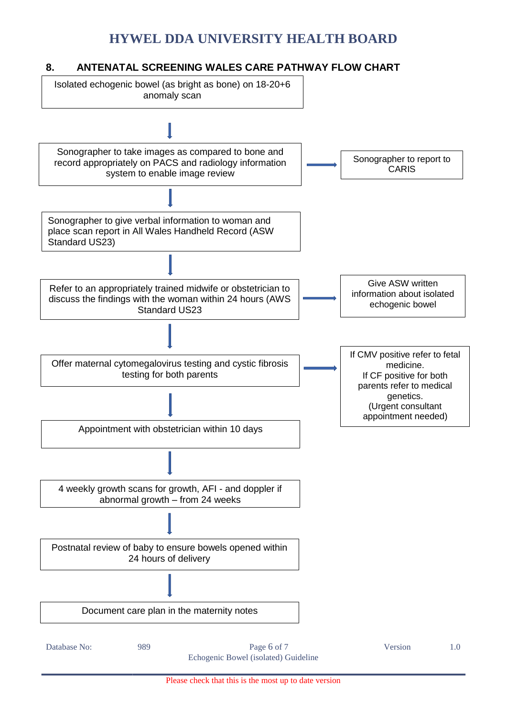#### <span id="page-5-0"></span>**8. ANTENATAL SCREENING WALES CARE PATHWAY FLOW CHART**